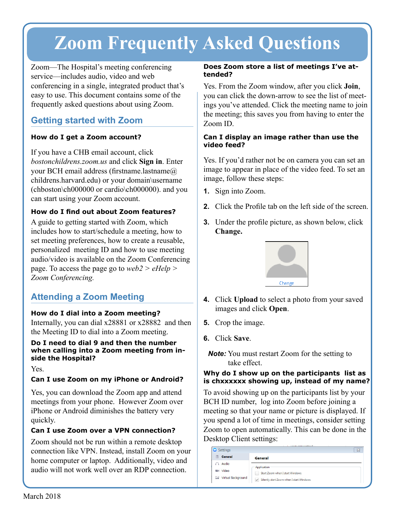# **Zoom Frequently Asked Questions**

Zoom—The Hospital's meeting conferencing service—includes audio, video and web conferencing in a single, integrated product that's easy to use. This document contains some of the frequently asked questions about using Zoom.

# **Getting started with Zoom**

## **How do I get a Zoom account?**

If you have a CHB email account, click *bostonchildrens.zoom.us* and click **Sign in**. Enter your BCH email address (firstname.lastname@ childrens.harvard.edu) or your domain\username (chboston\ch000000 or cardio\ch000000). and you can start using your Zoom account.

## **How do I find out about Zoom features?**

A guide to getting started with Zoom, which includes how to start/schedule a meeting, how to set meeting preferences, how to create a reusable, personalized meeting ID and how to use meeting audio/video is available on the Zoom Conferencing page. To access the page go to *web2 > eHelp > Zoom Conferencing.*

# **Attending a Zoom Meeting**

## **How do I dial into a Zoom meeting?**

Internally, you can dial x28881 or x28882 and then the Meeting ID to dial into a Zoom meeting.

## **Do I need to dial 9 and then the number when calling into a Zoom meeting from inside the Hospital?**

Yes.

## **Can I use Zoom on my iPhone or Android?**

Yes, you can download the Zoom app and attend meetings from your phone. However Zoom over iPhone or Android diminishes the battery very quickly.

## **Can I use Zoom over a VPN connection?**

Zoom should not be run within a remote desktop connection like VPN. Instead, install Zoom on your home computer or laptop. Additionally, video and audio will not work well over an RDP connection.

### **Does Zoom store a list of meetings I've attended?**

Yes. From the Zoom window, after you click **Join**, you can click the down-arrow to see the list of meetings you've attended. Click the meeting name to join the meeting; this saves you from having to enter the Zoom ID.

## **Can I display an image rather than use the video feed?**

Yes. If you'd rather not be on camera you can set an image to appear in place of the video feed. To set an image, follow these steps:

- **1.** Sign into Zoom.
- **2.** Click the Profile tab on the left side of the screen.
- **3.** Under the profile picture, as shown below, click **Change.**



- **4.** Click **Upload** to select a photo from your saved images and click **Open**.
- **5.** Crop the image.
- **6.** Click **Save**.
	- *Note:* You must restart Zoom for the setting to take effect.

## **Why do I show up on the participants list as is chxxxxxx showing up, instead of my name?**

To avoid showing up on the participants list by your BCH ID number, log into Zoom before joining a meeting so that your name or picture is displayed. If you spend a lot of time in meetings, consider setting Zoom to open automatically. This can be done in the Desktop Client settings:

| Settings                         | $\overline{\Sigma}$                                      |
|----------------------------------|----------------------------------------------------------|
| <b>General</b>                   | <b>General</b>                                           |
| Audio                            | Application                                              |
| <b>M</b> Video                   | Start Zoom when I start Windows                          |
| Virtual Background<br><b>Sel</b> | Silently start Zoom when I start Windows<br>$\checkmark$ |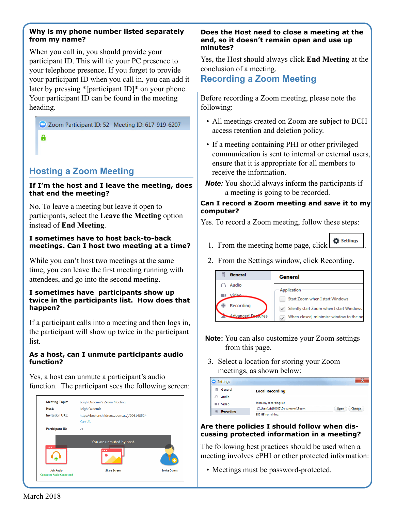#### **Why is my phone number listed separately from my name?**

When you call in, you should provide your participant ID. This will tie your PC presence to your telephone presence. If you forget to provide your participant ID when you call in, you can add it later by pressing \*[participant ID]\* on your phone. Your participant ID can be found in the meeting heading.

Zoom Participant ID: 52 Meeting ID: 617-919-6207

# A

# **Hosting a Zoom Meeting**

## **If I'm the host and I leave the meeting, does that end the meeting?**

No. To leave a meeting but leave it open to participants, select the **Leave the Meeting** option instead of **End Meeting**.

### **I sometimes have to host back-to-back meetings. Can I host two meeting at a time?**

While you can't host two meetings at the same time, you can leave the first meeting running with attendees, and go into the second meeting.

#### **I sometimes have participants show up twice in the participants list. How does that happen?**

If a participant calls into a meeting and then logs in, the participant will show up twice in the participant list.

#### **As a host, can I unmute participants audio function?**

Yes, a host can unmute a participant's audio function. The participant sees the following screen:



#### **Does the Host need to close a meeting at the end, so it doesn't remain open and use up minutes?**

Yes, the Host should always click **End Meeting** at the conclusion of a meeting.

# **Recording a Zoom Meeting**

Before recording a Zoom meeting, please note the following:

- All meetings created on Zoom are subject to BCH access retention and deletion policy.
- If a meeting containing PHI or other privileged communication is sent to internal or external users, ensure that it is appropriate for all members to receive the information.
- *Note:* You should always inform the participants if a meeting is going to be recorded.

## **Can I record a Zoom meeting and save it to my computer?**

Yes. To record a Zoom meeting, follow these steps:

- 1. From the meeting home page, click  $\frac{\bullet}{\bullet}$  settings
- 2. From the Settings window, click Recording.



- **Note:** You can also customize your Zoom settings from this page.
- 3. Select a location for storing your Zoom meetings, as shown below:

| <b>Settings</b>  |                                  |                |
|------------------|----------------------------------|----------------|
| General          | <b>Local Recording:</b>          |                |
| Audio            |                                  |                |
| 图4 Video         | Store my recordings at:          |                |
| <b>Recording</b> | C:\Users\ch194547\Documents\Zoom | Change<br>Open |
|                  | 385 GB remaining.                |                |

## **Are there policies I should follow when discussing protected information in a meeting?**

The following best practices should be used when a meeting involves ePHI or other protected information:

• Meetings must be password-protected.